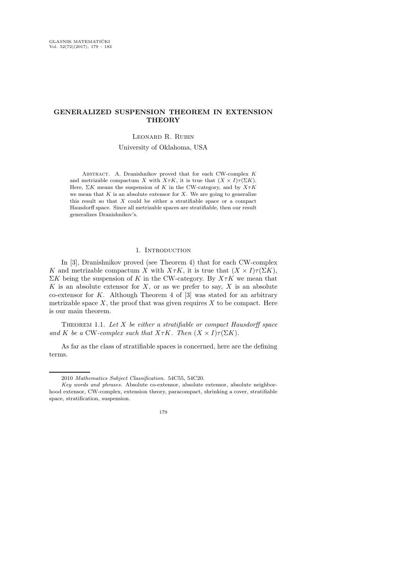# GENERALIZED SUSPENSION THEOREM IN EXTENSION **THEORY**

## Leonard R. Rubin

University of Oklahoma, USA

ABSTRACT. A. Dranishnikov proved that for each CW-complex  $K$ and metrizable compactum X with  $X \tau K$ , it is true that  $(X \times I) \tau (\Sigma K)$ . Here,  $\Sigma K$  means the suspension of K in the CW-category, and by  $X \tau K$ we mean that  $K$  is an absolute extensor for  $X$ . We are going to generalize this result so that  $X$  could be either a stratifiable space or a compact Hausdorff space. Since all metrizable spaces are stratifiable, then our result generalizes Dranishnikov's.

### 1. INTRODUCTION

In [3], Dranishnikov proved (see Theorem 4) that for each CW-complex K and metrizable compactum X with  $X \tau K$ , it is true that  $(X \times I) \tau (\Sigma K)$ ,  $\Sigma K$  being the suspension of K in the CW-category. By  $X \tau K$  we mean that K is an absolute extensor for  $X$ , or as we prefer to say,  $X$  is an absolute co-extensor for  $K$ . Although Theorem 4 of  $[3]$  was stated for an arbitrary metrizable space  $X$ , the proof that was given requires  $X$  to be compact. Here is our main theorem.

THEOREM 1.1. Let  $X$  be either a stratifiable or compact Hausdorff space and K be a CW-complex such that  $X \tau K$ . Then  $(X \times I) \tau(\Sigma K)$ .

As far as the class of stratifiable spaces is concerned, here are the defining terms.

<sup>2010</sup> Mathematics Subject Classification. 54C55, 54C20.

Key words and phrases. Absolute co-extensor, absolute extensor, absolute neighborhood extensor, CW-complex, extension theory, paracompact, shrinking a cover, stratifiable space, stratification, suspension.

<sup>179</sup>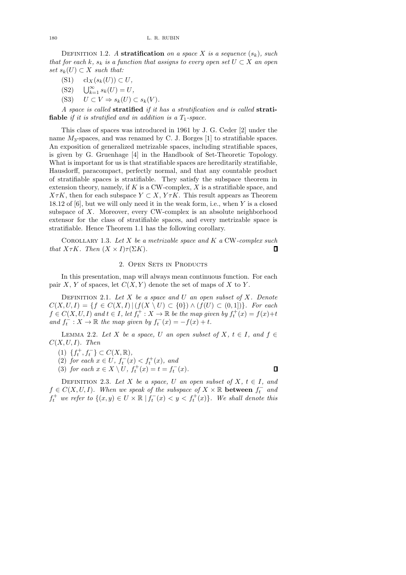#### 180 L. R. RUBIN

DEFINITION 1.2. A stratification on a space X is a sequence  $(s_k)$ , such that for each k,  $s_k$  is a function that assigns to every open set  $U \subset X$  an open set  $s_k(U) \subset X$  such that:

- (S1) cl<sub>X</sub> $(s_k(U)) \subset U$ ,
- (S2)  $\bigcup_{k=1}^{\infty} s_k(U) = U,$
- (S3)  $U \subset V \Rightarrow s_k(U) \subset s_k(V)$ .

A space is called stratified if it has a stratification and is called strati**fiable** if it is stratified and in addition is a  $T_1$ -space.

This class of spaces was introduced in 1961 by J. G. Ceder [2] under the name  $M_3$ -spaces, and was renamed by C. J. Borges [1] to stratifiable spaces. An exposition of generalized metrizable spaces, including stratifiable spaces, is given by G. Gruenhage [4] in the Handbook of Set-Theoretic Topology. What is important for us is that stratifiable spaces are hereditarily stratifiable. Hausdorff, paracompact, perfectly normal, and that any countable product of stratifiable spaces is stratifiable. They satisfy the subspace theorem in extension theory, namely, if  $K$  is a CW-complex,  $X$  is a stratifiable space, and  $X \tau K$ , then for each subspace  $Y \subset X$ ,  $Y \tau K$ . This result appears as Theorem 18.12 of  $[6]$ , but we will only need it in the weak form, i.e., when Y is a closed subspace of  $X$ . Moreover, every CW-complex is an absolute neighborhood extensor for the class of stratifiable spaces, and every metrizable space is stratifiable. Hence Theorem 1.1 has the following corollary.

COROLLARY 1.3. Let X be a metrizable space and K a CW-complex such that  $X \tau K$ . Then  $(X \times I) \tau(\Sigma K)$ .  $\Box$ 

## 2. OPEN SETS IN PRODUCTS

In this presentation, map will always mean continuous function. For each pair X, Y of spaces, let  $C(X, Y)$  denote the set of maps of X to Y.

DEFINITION 2.1. Let  $X$  be a space and  $U$  an open subset of  $X$ . Denote  $C(X, U, I) = \{f \in C(X, I) | (f(X \setminus U) \subset \{0\}) \wedge (f(U) \subset (0, 1])\}.$  For each  $f \in C(X, U, I)$  and  $t \in I$ , let  $f_t^+ : X \to \mathbb{R}$  be the map given by  $f_t^+(x) = f(x) + t$  $\int_{t}$  and  $\int_{t}$  $\hat{t}_t : X \to \mathbb{R}$  the map given by  $f_t^$  $t_t^-(x) = -f(x) + t.$ 

LEMMA 2.2. Let X be a space, U an open subset of X,  $t \in I$ , and  $f \in$  $C(X, U, I)$ . Then

- (1)  $\{f_t^+, f_t^-\} \subset C(X, \mathbb{R}),$
- (2) for each  $x \in U$ ,  $f_t^-(x) < f_t^+(x)$ , and
- (3) for each  $x \in X \setminus U$ ,  $f_t^+(x) = t = f_t^$  $t^{-}(x)$ .

DEFINITION 2.3. Let X be a space, U an open subset of X,  $t \in I$ , and  $f \in C(X, U, I)$ . When we speak of the subspace of  $X \times \mathbb{R}$  between  $f_t^-$  and  $f_t^+$  we refer to  $\{(x, y) \in U \times \mathbb{R} \mid f_t^$  $t_t^-(x) < y < f_t^+(x)$ . We shall denote this

 $\Box$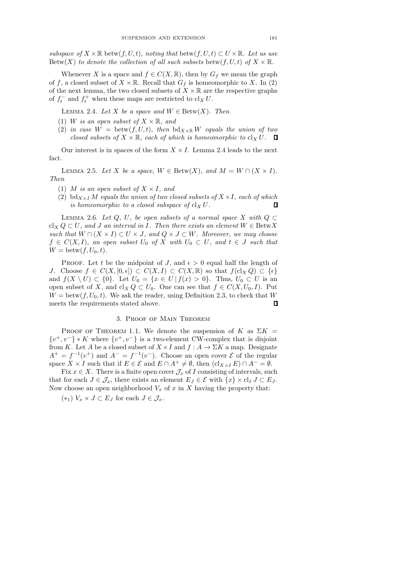subspace of  $X \times \mathbb{R}$  betw $(f, U, t)$ , noting that betw $(f, U, t) \subset U \times \mathbb{R}$ . Let us use Betw(X) to denote the collection of all such subsets betw(f, U, t) of  $X \times \mathbb{R}$ .

Whenever X is a space and  $f \in C(X, \mathbb{R})$ , then by  $G_f$  we mean the graph of f, a closed subset of  $X \times \mathbb{R}$ . Recall that  $G_f$  is homeomorphic to X. In (2) of the next lemma, the two closed subsets of  $X \times \mathbb{R}$  are the respective graphs of  $f_t^$  $t_t^-$  and  $f_t^+$  when these maps are restricted to  $\operatorname{cl}_X U$ .

LEMMA 2.4. Let X be a space and  $W \in \text{Betw}(X)$ . Then

- (1) W is an open subset of  $X \times \mathbb{R}$ , and
- (2) in case  $W = \text{between}(f, U, t)$ , then  $\text{bd}_{X \times \mathbb{R}} W$  equals the union of two closed subsets of  $X \times \mathbb{R}$ , each of which is homeomorphic to  $\text{cl}_X U$ .  $\Box$

Our interest is in spaces of the form  $X \times I$ . Lemma 2.4 leads to the next fact.

LEMMA 2.5. Let X be a space,  $W \in \text{Between}(X)$ , and  $M = W \cap (X \times I)$ . Then

- (1) M is an open subset of  $X \times I$ , and
- (2) bd<sub>X×I</sub> M equals the union of two closed subsets of  $X \times I$ , each of which is homeomorphic to a closed subspace of  $\operatorname{cl}_X U$ .  $\Box$

LEMMA 2.6. Let Q, U, be open subsets of a normal space X with  $Q \subset$  $cl_X Q \subset U$ , and J an interval in I. Then there exists an element  $W \in \text{BetwX}$ such that  $W \cap (X \times I) \subset U \times J$ , and  $Q \times J \subset W$ . Moreover, we may choose  $f \in C(X, I)$ , an open subset  $U_0$  of X with  $U_0 \subset U$ , and  $t \in J$  such that  $W = \text{between}(f, U_0, t).$ 

PROOF. Let t be the midpoint of J, and  $\epsilon > 0$  equal half the length of J. Choose  $f \in C(X, [0, \epsilon]) \subset C(X, I) \subset C(X, \mathbb{R})$  so that  $f(\text{cl}_X Q) \subset {\epsilon}$ and  $f(X \setminus U) \subset \{0\}$ . Let  $U_0 = \{x \in U \mid f(x) > 0\}$ . Thus,  $U_0 \subset U$  is an open subset of X, and cl<sub>X</sub>  $Q \subset U_0$ . One can see that  $f \in C(X, U_0, I)$ . Put  $W = \text{between}(f, U_0, t)$ . We ask the reader, using Definition 2.3, to check that W meets the requirements stated above.  $\Box$ 

# 3. Proof of Main Theorem

PROOF OF THEOREM 1.1. We denote the suspension of K as  $\Sigma K =$  $\{v^+, v^-\}\ast K$  where  $\{v^+, v^-\}$  is a two-element CW-complex that is disjoint from K. Let A be a closed subset of  $X \times I$  and  $f : A \to \Sigma K$  a map. Designate  $A^+=f^{-1}(v^+)$  and  $A^-=f^{-1}(v^-)$ . Choose an open cover  $\mathcal E$  of the regular space  $X \times I$  such that if  $E \in \mathcal{E}$  and  $E \cap A^+ \neq \emptyset$ , then  $(cl_{X \times I} E) \cap A^- = \emptyset$ .

Fix  $x \in X$ . There is a finite open cover  $\mathcal{J}_x$  of I consisting of intervals, such that for each  $J \in \mathcal{J}_x$ , there exists an element  $E_J \in \mathcal{E}$  with  $\{x\} \times \mathrm{cl}_I J \subset E_J$ . Now choose an open neighborhood  $V_x$  of x in X having the property that:

 $(*_1)$   $V_x \times J \subset E_J$  for each  $J \in \mathcal{J}_x$ .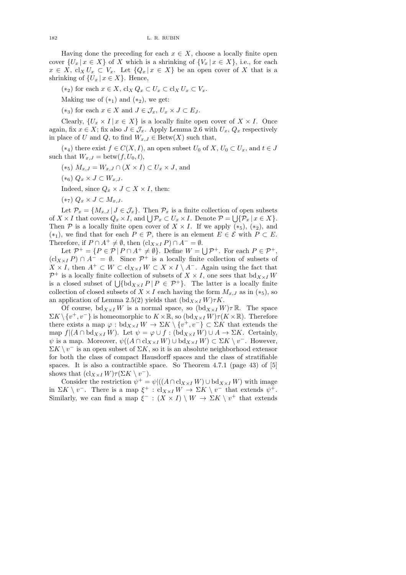Having done the preceding for each  $x \in X$ , choose a locally finite open cover  $\{U_x | x \in X\}$  of X which is a shrinking of  $\{V_x | x \in X\}$ , i.e., for each  $x \in X$ ,  $\text{cl}_X U_x \subset V_x$ . Let  $\{Q_x | x \in X\}$  be an open cover of X that is a shrinking of  $\{U_x \mid x \in X\}$ . Hence,

 $(*_2)$  for each  $x \in X$ ,  $\operatorname{cl}_X Q_x \subset U_x \subset \operatorname{cl}_X U_x \subset V_x$ .

Making use of  $(*_1)$  and  $(*_2)$ , we get:

 $(*_3)$  for each  $x \in X$  and  $J \in \mathcal{J}_x$ ,  $U_x \times J \subset E_J$ .

Clearly,  $\{U_x \times I | x \in X\}$  is a locally finite open cover of  $X \times I$ . Once again, fix  $x \in X$ ; fix also  $J \in \mathcal{J}_x$ . Apply Lemma 2.6 with  $U_x, Q_x$  respectively in place of U and Q, to find  $W_{x,J} \in \text{Betw}(X)$  such that,

 $(*_4)$  there exist  $f \in C(X, I)$ , an open subset  $U_0$  of  $X, U_0 \subset U_x$ , and  $t \in J$ such that  $W_{x,J} = \text{between}(f, U_0, t),$ 

- (\*5)  $M_{x,J} = W_{x,J} \cap (X \times I) \subset U_x \times J$ , and
- $(*_6)$   $Q_x \times J \subset W_{x,J}$ .
- Indeed, since  $Q_x \times J \subset X \times I$ , then:
- $(*_7)$   $Q_x \times J \subset M_{x,J}.$

Let  $\mathcal{P}_x = \{M_{x,J} | J \in \mathcal{J}_x\}$ . Then  $\mathcal{P}_x$  is a finite collection of open subsets of  $X \times I$  that covers  $Q_x \times I$ , and  $\bigcup \mathcal{P}_x \subset U_x \times I$ . Denote  $\mathcal{P} = \bigcup \{ \mathcal{P}_x \mid x \in X \}.$ Then P is a locally finite open cover of  $X \times I$ . If we apply  $(*_5)$ ,  $(*_2)$ , and (\*<sub>1</sub>), we find that for each  $P \in \mathcal{P}$ , there is an element  $E \in \mathcal{E}$  with  $P \subset E$ . Therefore, if  $P \cap A^+ \neq \emptyset$ , then  $(cl_{X \times I} P) \cap A^- = \emptyset$ .

Let  $\mathcal{P}^+ = \{P \in \mathcal{P} \mid P \cap A^+ \neq \emptyset\}$ . Define  $W = \bigcup \mathcal{P}^+$ . For each  $P \in \mathcal{P}^+$ ,  $(cl_{X\times I} P) \cap A^- = \emptyset$ . Since  $P^+$  is a locally finite collection of subsets of  $X \times I$ , then  $A^+ \subset W \subset cl_{X \times I} W \subset X \times I \setminus A^-$ . Again using the fact that  $\mathcal{P}^+$  is a locally finite collection of subsets of  $X \times I$ , one sees that  $\text{bd}_{X \times I} W$ is a closed subset of  $\bigcup \{ bd_{X\times I} P | P \in \mathcal{P}^+ \}.$  The latter is a locally finite collection of closed subsets of  $X \times I$  each having the form  $M_{x,J}$  as in  $(*_5)$ , so an application of Lemma 2.5(2) yields that  $(\text{bd}_{X\times I}W)\tau K$ .

Of course,  $bd_{X\times I}W$  is a normal space, so  $(bd_{X\times I}W)\tau \mathbb{R}$ . The space  $\Sigma K \setminus \{v^+, v^-\}$  is homeomorphic to  $K \times \mathbb{R}$ , so  $(\text{bd}_{X \times I} W) \tau(K \times \mathbb{R})$ . Therefore there exists a map  $\varphi : \text{bd}_{X \times I} W \to \Sigma K \setminus \{v^+, v^-\} \subset \Sigma K$  that extends the map  $f|(A \cap \text{bd}_{X \times I} W)$ . Let  $\psi = \varphi \cup f : (\text{bd}_{X \times I} W) \cup A \to \Sigma K$ . Certainly,  $\psi$  is a map. Moreover,  $\psi((A \cap \text{cl}_{X \times I} W) \cup \text{bd}_{X \times I} W) \subset \Sigma K \setminus v^-$ . However,  $\Sigma K \setminus v^-$  is an open subset of  $\Sigma K$ , so it is an absolute neighborhood extensor for both the class of compact Hausdorff spaces and the class of stratifiable spaces. It is also a contractible space. So Theorem 4.7.1 (page 43) of [5] shows that  $(cl_{X\times I} W)\tau(\Sigma K \setminus v^-).$ 

Consider the restriction  $\psi^+ = \psi((A \cap \text{cl}_{X \times I} W) \cup \text{bd}_{X \times I} W)$  with image in  $\Sigma K \setminus v^-$ . There is a map  $\xi^+ : cl_{X \times I} W \to \Sigma K \setminus v^-$  that extends  $\psi^+$ . Similarly, we can find a map  $\xi^-$ :  $(X \times I) \setminus W \to \Sigma K \setminus v^+$  that extends